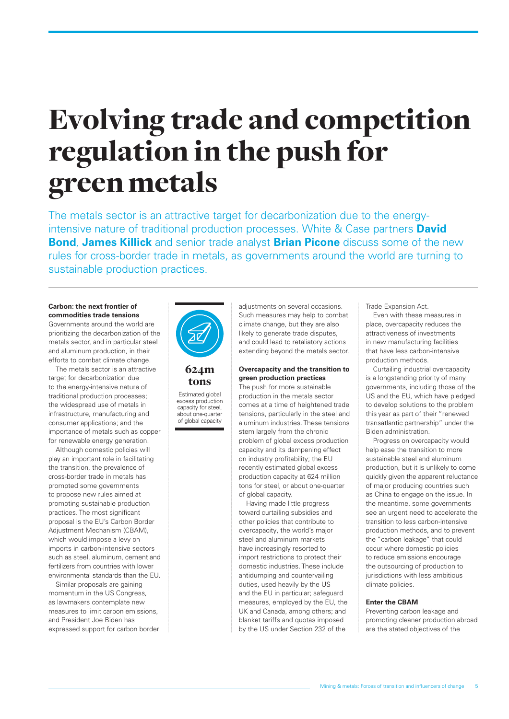# Evolving trade and competition regulation in the push for green metals

The metals sector is an attractive target for decarbonization due to the energyintensive nature of traditional production processes. White & Case partners **David Bond**, **James Killick** and senior trade analyst **Brian Picone** discuss some of the new rules for cross-border trade in metals, as governments around the world are turning to sustainable production practices.

#### **Carbon: the next frontier of commodities trade tensions**

Governments around the world are prioritizing the decarbonization of the metals sector, and in particular steel and aluminum production, in their efforts to combat climate change.

The metals sector is an attractive target for decarbonization due to the energy-intensive nature of traditional production processes; the widespread use of metals in infrastructure, manufacturing and consumer applications; and the importance of metals such as copper for renewable energy generation.

Although domestic policies will play an important role in facilitating the transition, the prevalence of cross-border trade in metals has prompted some governments to propose new rules aimed at promoting sustainable production practices. The most significant proposal is the EU's Carbon Border Adjustment Mechanism (CBAM), which would impose a levy on imports in carbon-intensive sectors such as steel, aluminum, cement and fertilizers from countries with lower environmental standards than the EU.

Similar proposals are gaining momentum in the US Congress, as lawmakers contemplate new measures to limit carbon emissions, and President Joe Biden has expressed support for carbon border



### 624m tons

Estimated global excess production capacity for steel, about one-quarter of global capacity

adjustments on several occasions. Such measures may help to combat climate change, but they are also likely to generate trade disputes, and could lead to retaliatory actions extending beyond the metals sector.

#### **Overcapacity and the transition to green production practices**

The push for more sustainable production in the metals sector comes at a time of heightened trade tensions, particularly in the steel and aluminum industries. These tensions stem largely from the chronic problem of global excess production capacity and its dampening effect on industry profitability; the EU recently estimated global excess production capacity at 624 million tons for steel, or about one-quarter of global capacity.

Having made little progress toward curtailing subsidies and other policies that contribute to overcapacity, the world's major steel and aluminum markets have increasingly resorted to import restrictions to protect their domestic industries. These include antidumping and countervailing duties, used heavily by the US and the EU in particular; safeguard measures, employed by the EU, the UK and Canada, among others; and blanket tariffs and quotas imposed by the US under Section 232 of the

Trade Expansion Act.

Even with these measures in place, overcapacity reduces the attractiveness of investments in new manufacturing facilities that have less carbon-intensive production methods.

Curtailing industrial overcapacity is a longstanding priority of many governments, including those of the US and the EU, which have pledged to develop solutions to the problem this year as part of their "renewed transatlantic partnership" under the Biden administration.

Progress on overcapacity would help ease the transition to more sustainable steel and aluminum production, but it is unlikely to come quickly given the apparent reluctance of major producing countries such as China to engage on the issue. In the meantime, some governments see an urgent need to accelerate the transition to less carbon-intensive production methods, and to prevent the "carbon leakage" that could occur where domestic policies to reduce emissions encourage the outsourcing of production to jurisdictions with less ambitious climate policies.

#### **Enter the CBAM**

Preventing carbon leakage and promoting cleaner production abroad are the stated objectives of the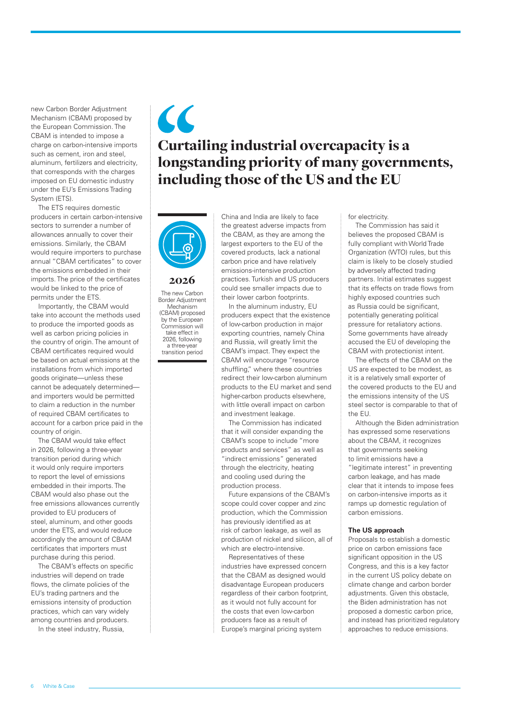new Carbon Border Adjustment Mechanism (CBAM) proposed by the European Commission. The CBAM is intended to impose a charge on carbon-intensive imports such as cement, iron and steel, aluminum, fertilizers and electricity, that corresponds with the charges imposed on EU domestic industry under the EU's Emissions Trading System (ETS).

The ETS requires domestic producers in certain carbon-intensive sectors to surrender a number of allowances annually to cover their emissions. Similarly, the CBAM would require importers to purchase annual "CBAM certificates" to cover the emissions embedded in their imports. The price of the certificates would be linked to the price of permits under the ETS.

Importantly, the CBAM would take into account the methods used to produce the imported goods as well as carbon pricing policies in the country of origin. The amount of CBAM certificates required would be based on actual emissions at the installations from which imported goods originate—unless these cannot be adequately determined and importers would be permitted to claim a reduction in the number of required CBAM certificates to account for a carbon price paid in the country of origin.

The CBAM would take effect in 2026, following a three-year transition period during which it would only require importers to report the level of emissions embedded in their imports. The CBAM would also phase out the free emissions allowances currently provided to EU producers of steel, aluminum, and other goods under the ETS, and would reduce accordingly the amount of CBAM certificates that importers must purchase during this period.

The CBAM's effects on specific industries will depend on trade flows, the climate policies of the EU's trading partners and the emissions intensity of production practices, which can vary widely among countries and producers.

In the steel industry, Russia,

## $\overline{\mathcal{L}}$ Curtailing industrial overcapacity is a longstanding priority of many governments, including those of the US and the EU



2026

The new Carbon Border Adjustment Mechanism (CBAM) proposed by the European Commission will take effect in 2026, following a three-year transition period

China and India are likely to face the greatest adverse impacts from the CBAM, as they are among the largest exporters to the EU of the covered products, lack a national carbon price and have relatively emissions-intensive production practices. Turkish and US producers could see smaller impacts due to their lower carbon footprints.

In the aluminum industry, EU producers expect that the existence of low-carbon production in major exporting countries, namely China and Russia, will greatly limit the CBAM's impact. They expect the CBAM will encourage "resource shuffling," where these countries redirect their low-carbon aluminum products to the EU market and send higher-carbon products elsewhere, with little overall impact on carbon and investment leakage.

The Commission has indicated that it will consider expanding the CBAM's scope to include "more products and services" as well as "indirect emissions" generated through the electricity, heating and cooling used during the production process.

Future expansions of the CBAM's scope could cover copper and zinc production, which the Commission has previously identified as at risk of carbon leakage, as well as production of nickel and silicon, all of which are electro-intensive.

Representatives of these industries have expressed concern that the CBAM as designed would disadvantage European producers regardless of their carbon footprint, as it would not fully account for the costs that even low-carbon producers face as a result of Europe's marginal pricing system

for electricity.

The Commission has said it believes the proposed CBAM is fully compliant with World Trade Organization (WTO) rules, but this claim is likely to be closely studied by adversely affected trading partners. Initial estimates suggest that its effects on trade flows from highly exposed countries such as Russia could be significant, potentially generating political pressure for retaliatory actions. Some governments have already accused the EU of developing the CBAM with protectionist intent.

The effects of the CBAM on the US are expected to be modest, as it is a relatively small exporter of the covered products to the EU and the emissions intensity of the US steel sector is comparable to that of the EU.

Although the Biden administration has expressed some reservations about the CBAM, it recognizes that governments seeking to limit emissions have a "legitimate interest" in preventing carbon leakage, and has made clear that it intends to impose fees on carbon-intensive imports as it ramps up domestic regulation of carbon emissions.

#### **The US approach**

Proposals to establish a domestic price on carbon emissions face significant opposition in the US Congress, and this is a key factor in the current US policy debate on climate change and carbon border adiustments. Given this obstacle, the Biden administration has not proposed a domestic carbon price, and instead has prioritized regulatory approaches to reduce emissions.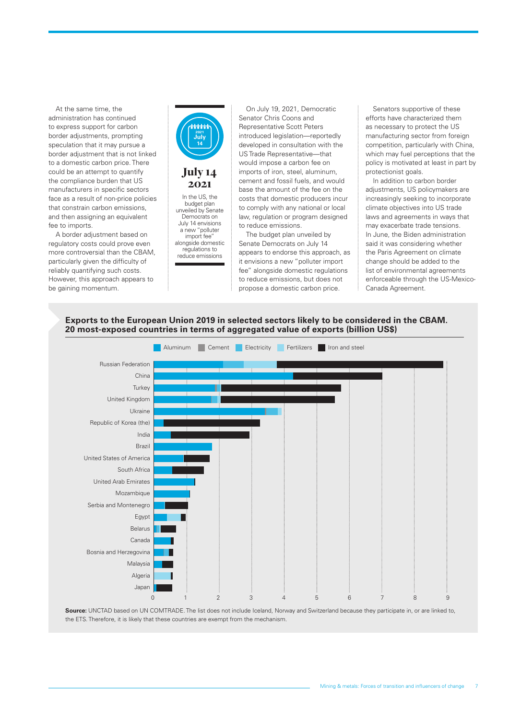At the same time, the administration has continued to express support for carbon border adjustments, prompting speculation that it may pursue a border adjustment that is not linked to a domestic carbon price. There could be an attempt to quantify the compliance burden that US manufacturers in specific sectors face as a result of non-price policies that constrain carbon emissions, and then assigning an equivalent fee to imports.

A border adjustment based on regulatory costs could prove even more controversial than the CBAM, particularly given the difficulty of reliably quantifying such costs. However, this approach appears to be gaining momentum.



On July 19, 2021, Democratic Senator Chris Coons and Representative Scott Peters introduced legislation—reportedly developed in consultation with the US Trade Representative—that would impose a carbon fee on imports of iron, steel, aluminum, cement and fossil fuels, and would base the amount of the fee on the costs that domestic producers incur to comply with any national or local law, regulation or program designed to reduce emissions.

The budget plan unveiled by Senate Democrats on July 14 appears to endorse this approach, as it envisions a new "polluter import fee" alongside domestic regulations to reduce emissions, but does not propose a domestic carbon price.

Senators supportive of these efforts have characterized them as necessary to protect the US manufacturing sector from foreign competition, particularly with China, which may fuel perceptions that the policy is motivated at least in part by protectionist goals.

In addition to carbon border adjustments, US policymakers are increasingly seeking to incorporate climate objectives into US trade laws and agreements in ways that may exacerbate trade tensions. In June, the Biden administration said it was considering whether the Paris Agreement on climate change should be added to the list of environmental agreements enforceable through the US-Mexico-Canada Agreement.





Source: UNCTAD based on UN COMTRADE. The list does not include Iceland, Norway and Switzerland because they participate in, or are linked to, the ETS. Therefore, it is likely that these countries are exempt from the mechanism.